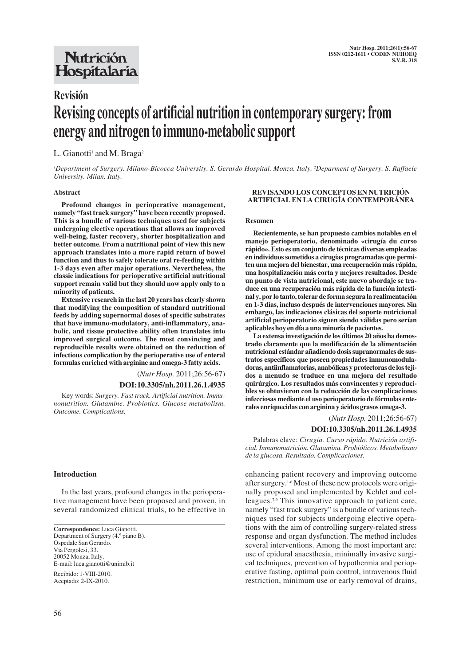## Nutrición Hospitalaria

# **Revisión Revising concepts of artificial nutrition in contemporary surgery: from energy and nitrogen to immuno-metabolic support**

## L. Gianotti<sup>1</sup> and M. Braga<sup>2</sup>

*1 Department of Surgery. Milano-Bicocca University. S. Gerardo Hospital. Monza. Italy. 2 Deparment of Surgery. S. Raffaele University. Milan. Italy.*

#### **Abstract**

**Profound changes in perioperative management, namely "fast track surgery" have been recently proposed. This is a bundle of various techniques used for subjects undergoing elective operations that allows an improved well-being, faster recovery, shorter hospitalization and better outcome. From a nutritional point of view this new approach translates into a more rapid return of bowel function and thus to safely tolerate oral re-feeding within 1-3 days even after major operations. Nevertheless, the classic indications for perioperative artificial nutritional support remain valid but they should now apply only to a minority of patients.** 

**Extensive research in the last 20 years has clearly shown that modifying the composition of standard nutritional feeds by adding supernormal doses of specific substrates that have immuno-modulatory, anti-inflammatory, anabolic, and tissue protective ability often translates into improved surgical outcome. The most convincing and reproducible results were obtained on the reduction of infectious complication by the perioperative use of enteral formulas enriched with arginine and omega-3 fatty acids.**

(*Nutr Hosp.* 2011;26:56-67)

#### **DOI:10.3305/nh.2011.26.1.4935**

Key words: *Surgery. Fast track. Artificial nutrition. Immunonutrition. Glutamine. Probiotics. Glucose metabolism. Outcome. Complications.*

#### **Introduction**

In the last years, profound changes in the perioperative management have been proposed and proven, in several randomized clinical trials, to be effective in

**Correspondence:** Luca Gianotti. Department of Surgery (4.º piano B). Ospedale San Gerardo. Via Pergolesi, 33. 20052 Monza, Italy. E-mail: luca.gianotti@unimib.it Recibido: 1-VIII-2010.

Aceptado: 2-IX-2010.

#### **REVISANDO LOS CONCEPTOS EN NUTRICIÓN ARTIFICIAL EN LA CIRUGÍA CONTEMPORÁNEA**

#### **Resumen**

**Recientemente, se han propuesto cambios notables en el manejo perioperatorio, denominado «cirugía du curso rápido». Esto es un conjunto de técnicas diversas empleadas en individuos sometidos a cirugías programadas que permiten una mejora del bienestar, una recuperación más rápida, una hospitalización más corta y mejores resultados. Desde un punto de vista nutricional, este nuevo abordaje se traduce en una recuperación más rápida de la función intestinal y, por lo tanto, tolerar de forma segura la realimentación en 1-3 días, incluso después de intervenciones mayores. Sin embargo, las indicaciones clásicas del soporte nutricional artificial perioperatorio siguen siendo válidas pero serían aplicables hoy en día a una minoría de pacientes.** 

**La extensa investigación de los últimos 20 años ha demostrado claramente que la modificación de la alimentación nutricional estándar añadiendo dosis supranormales de sustratos específicos que poseen propiedades inmunomoduladoras, antiinflamatorias, anabólicas y protectoras de los tejidos a menudo se traduce en una mejora del resultado quirúrgico. Los resultados más convincentes y reproducibles se obtuvieron con la reducción de las complicaciones infecciosas mediante el uso perioperatorio de fórmulas enterales enriquecidas con arginina y ácidos grasos omega-3.**

(*Nutr Hosp.* 2011;26:56-67)

#### **DOI:10.3305/nh.2011.26.1.4935**

Palabras clave: *Cirugía. Curso rápido. Nutrición artificial. Inmunonutrición. Glutamina. Probióticos. Metabolismo de la glucosa. Resultado. Complicaciones.*

enhancing patient recovery and improving outcome after surgery.1-6 Most of these new protocols were originally proposed and implemented by Kehlet and colleagues.7-9 This innovative approach to patient care, namely "fast track surgery" is a bundle of various techniques used for subjects undergoing elective operations with the aim of controlling surgery-related stress response and organ dysfunction. The method includes several interventions. Among the most important are: use of epidural anaesthesia, minimally invasive surgical techniques, prevention of hypothermia and perioperative fasting, optimal pain control, intravenous fluid restriction, minimum use or early removal of drains,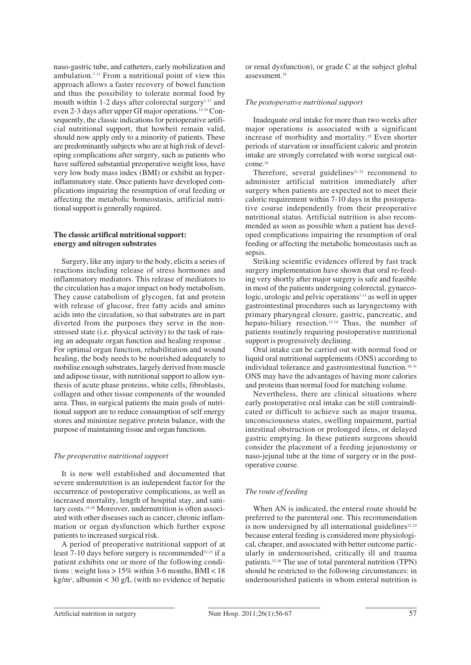naso-gastric tube, and catheters, early mobilization and ambulation.<sup> $7-11$ </sup> From a nutritional point of view this approach allows a faster recovery of bowel function and thus the possibility to tolerate normal food by mouth within  $1-2$  days after colorectal surgery<sup>1-11</sup> and even 2-3 days after upper GI major operations.12-14 Consequently, the classic indications for perioperative artificial nutritional support, that howbeit remain valid, should now apply only to a minority of patients. These are predominantly subjects who are at high risk of developing complications after surgery, such as patients who have suffered substantial preoperative weight loss, have very low body mass index (BMI) or exhibit an hyperinflammatory state. Once patients have developed complications impairing the resumption of oral feeding or affecting the metabolic homeostasis, artificial nutritional support is generally required.

#### **The classic artifical nutritional support: energy and nitrogen substrates**

Surgery, like any injury to the body, elicits a series of reactions including release of stress hormones and inflammatory mediators. This release of mediators to the circulation has a major impact on body metabolism. They cause catabolism of glycogen, fat and protein with release of glucose, free fatty acids and amino acids into the circulation, so that substrates are in part diverted from the purposes they serve in the nonstressed state (i.e. physical activity) to the task of raising an adequate organ function and healing response . For optimal organ function, rehabilitation and wound healing, the body needs to be nourished adequately to mobilise enough substrates, largely derived from muscle and adipose tissue, with nutritional support to allow synthesis of acute phase proteins, white cells, fibroblasts, collagen and other tissue components of the wounded area. Thus, in surgical patients the main goals of nutritional support are to reduce consumption of self energy stores and minimize negative protein balance, with the purpose of maintaining tissue and organ functions.

#### *The preoperative nutritional support*

It is now well established and documented that severe undernutrition is an independent factor for the occurrence of postoperative complications, as well as increased mortality, length of hospital stay, and sanitary costs.15-20 Moreover, undernutrition is often associated with other diseases such as cancer, chronic inflammation or organ dysfunction which further expose patients to increased surgical risk.

A period of preoperative nutritional support of at least 7-10 days before surgery is recommended<sup>21-23</sup> if a patient exhibits one or more of the following conditions : weight loss  $> 15\%$  within 3-6 months, BMI < 18 kg/m2 , albumin < 30 g/L (with no evidence of hepatic

or renal dysfunction), or grade C at the subject global assessment.24

#### *The postoperative nutritional support*

Inadequate oral intake for more than two weeks after major operations is associated with a significant increase of morbidity and mortality.25 Even shorter periods of starvation or insufficient caloric and protein intake are strongly correlated with worse surgical outcome.26

Therefore, several guidelines $21-23$  recommend to administer artificial nutrition immediately after surgery when patients are expected not to meet their caloric requirement within 7-10 days in the postoperative course independently from their preoperative nutritional status. Artificial nutrition is also recommended as soon as possible when a patient has developed complications impairing the resumption of oral feeding or affecting the metabolic homeostasis such as sepsis.

Striking scientific evidences offered by fast track surgery implementation have shown that oral re-feeding very shortly after major surgery is safe and feasible in most of the patients undergoing colorectal, gynaeco $logic$ , urologic and pelvic operations<sup> $1-11$ </sup> as well in upper gastrointestinal procedures such as laryngectomy with primary pharyngeal closure, gastric, pancreatic, and hepato-biliary resection.<sup>12-14</sup> Thus, the number of patients routinely requiring postoperative nutritional support is progressively declining.

Oral intake can be carried out with normal food or liquid oral nutritional supplements (ONS) according to individual tolerance and gastrointestinal function.<sup>26-31</sup> ONS may have the advantages of having more calories and proteins than normal food for matching volume.

Nevertheless, there are clinical situations where early postoperative oral intake can be still contraindicated or difficult to achieve such as major trauma, unconsciousness states, swelling impairment, partial intestinal obstruction or prolonged ileus, or delayed gastric emptying. In these patients surgeons should consider the placement of a feeding jejunostomy or naso-jejunal tube at the time of surgery or in the postoperative course.

## *The route of feeding*

When AN is indicated, the enteral route should be preferred to the parenteral one. This recommendation is now undersigned by all international guidelines<sup>21-23</sup> because enteral feeding is considered more physiological, cheaper, and associated with better outcome particularly in undernourished, critically ill and trauma patients.32-38 The use of total parenteral nutrition (TPN) should be restricted to the following circumstances: in undernourished patients in whom enteral nutrition is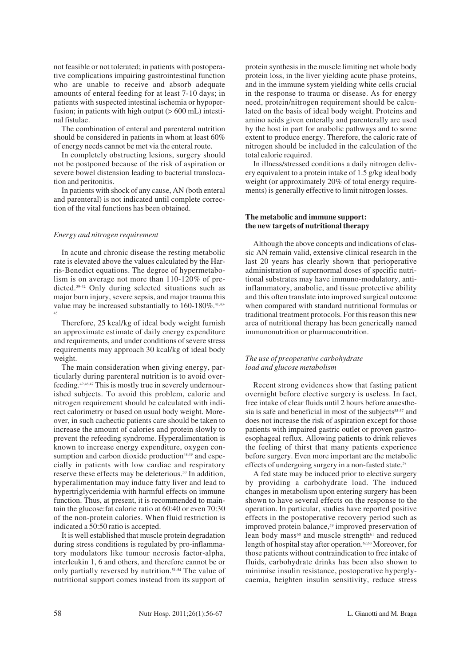not feasible or not tolerated; in patients with postoperative complications impairing gastrointestinal function who are unable to receive and absorb adequate amounts of enteral feeding for at least 7-10 days; in patients with suspected intestinal ischemia or hypoperfusion; in patients with high output  $(> 600 \text{ mL})$  intestinal fistulae.

The combination of enteral and parenteral nutrition should be considered in patients in whom at least 60% of energy needs cannot be met via the enteral route.

In completely obstructing lesions, surgery should not be postponed because of the risk of aspiration or severe bowel distension leading to bacterial translocation and peritonitis.

In patients with shock of any cause, AN (both enteral and parenteral) is not indicated until complete correction of the vital functions has been obtained.

#### *Energy and nitrogen requirement*

In acute and chronic disease the resting metabolic rate is elevated above the values calculated by the Harris-Benedict equations. The degree of hypermetabolism is on average not more than 110-120% of predicted.39-42 Only during selected situations such as major burn injury, severe sepsis, and major trauma this value may be increased substantially to 160-180%.<sup>41,43-</sup> 45

Therefore, 25 kcal/kg of ideal body weight furnish an approximate estimate of daily energy expenditure and requirements, and under conditions of severe stress requirements may approach 30 kcal/kg of ideal body weight.

The main consideration when giving energy, particularly during parenteral nutrition is to avoid overfeeding.42,46,47 This is mostly true in severely undernourished subjects. To avoid this problem, calorie and nitrogen requirement should be calculated with indirect calorimetry or based on usual body weight. Moreover, in such cachectic patients care should be taken to increase the amount of calories and protein slowly to prevent the refeeding syndrome. Hyperalimentation is known to increase energy expenditure, oxygen consumption and carbon dioxide production<sup>48,49</sup> and especially in patients with low cardiac and respiratory reserve these effects may be deleterious.<sup>50</sup> In addition, hyperalimentation may induce fatty liver and lead to hypertriglyceridemia with harmful effects on immune function. Thus, at present, it is recommended to maintain the glucose:fat calorie ratio at 60:40 or even 70:30 of the non-protein calories. When fluid restriction is indicated a 50:50 ratio is accepted.

It is well established that muscle protein degradation during stress conditions is regulated by pro-inflammatory modulators like tumour necrosis factor-alpha, interleukin 1, 6 and others, and therefore cannot be or only partially reversed by nutrition.51-54 The value of nutritional support comes instead from its support of protein synthesis in the muscle limiting net whole body protein loss, in the liver yielding acute phase proteins, and in the immune system yielding white cells crucial in the response to trauma or disease. As for energy need, protein/nitrogen requirement should be calculated on the basis of ideal body weight. Proteins and amino acids given enterally and parenterally are used by the host in part for anabolic pathways and to some extent to produce energy. Therefore, the caloric rate of nitrogen should be included in the calculation of the total calorie required.

In illness/stressed conditions a daily nitrogen delivery equivalent to a protein intake of 1.5 g/kg ideal body weight (or approximately 20% of total energy requirements) is generally effective to limit nitrogen losses.

#### **The metabolic and immune support: the new targets of nutritional therapy**

Although the above concepts and indications of classic AN remain valid, extensive clinical research in the last 20 years has clearly shown that perioperative administration of supernormal doses of specific nutritional substrates may have immuno-modulatory, antiinflammatory, anabolic, and tissue protective ability and this often translate into improved surgical outcome when compared with standard nutritional formulas or traditional treatment protocols. For this reason this new area of nutritional therapy has been generically named immunonutrition or pharmaconutrition.

#### *The use of preoperative carbohydrate load and glucose metabolism*

Recent strong evidences show that fasting patient overnight before elective surgery is useless. In fact, free intake of clear fluids until 2 hours before anaesthesia is safe and beneficial in most of the subjects<sup>55-57</sup> and does not increase the risk of aspiration except for those patients with impaired gastric outlet or proven gastroesophageal reflux. Allowing patients to drink relieves the feeling of thirst that many patients experience before surgery. Even more important are the metabolic effects of undergoing surgery in a non-fasted state.58

A fed state may be induced prior to elective surgery by providing a carbohydrate load. The induced changes in metabolism upon entering surgery has been shown to have several effects on the response to the operation. In particular, studies have reported positive effects in the postoperative recovery period such as improved protein balance,<sup>59</sup> improved preservation of lean body mass<sup>60</sup> and muscle strength<sup>61</sup> and reduced length of hospital stay after operation.62,63 Moreover, for those patients without contraindication to free intake of fluids, carbohydrate drinks has been also shown to minimise insulin resistance, postoperative hyperglycaemia, heighten insulin sensitivity, reduce stress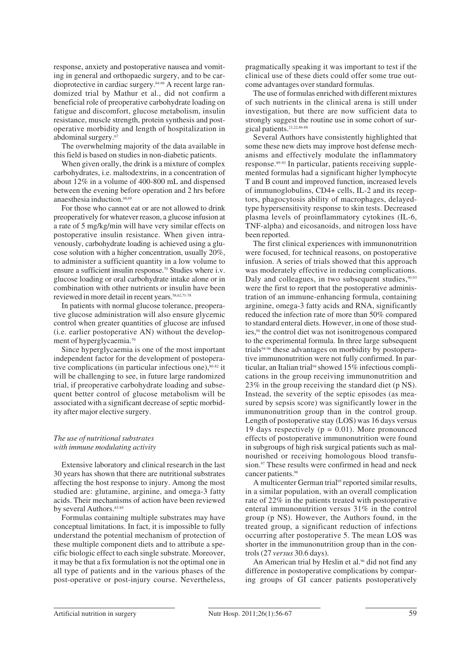response, anxiety and postoperative nausea and vomiting in general and orthopaedic surgery, and to be cardioprotective in cardiac surgery.64-66 A recent large randomized trial by Mathur et al., did not confirm a beneficial role of preoperative carbohydrate loading on fatigue and discomfort, glucose metabolism, insulin resistance, muscle strength, protein synthesis and postoperative morbidity and length of hospitalization in abdominal surgery.<sup>6</sup>

The overwhelming majority of the data available in this field is based on studies in non-diabetic patients.

When given orally, the drink is a mixture of complex carbohydrates, i.e. maltodextrins, in a concentration of about 12% in a volume of 400-800 mL and dispensed between the evening before operation and 2 hrs before anaesthesia induction.<sup>68,69</sup>

For those who cannot eat or are not allowed to drink preoperatively for whatever reason, a glucose infusion at a rate of 5 mg/kg/min will have very similar effects on postoperative insulin resistance. When given intravenously, carbohydrate loading is achieved using a glucose solution with a higher concentration, usually 20%, to administer a sufficient quantity in a low volume to ensure a sufficient insulin response.<sup>70</sup> Studies where i.v. glucose loading or oral carbohydrate intake alone or in combination with other nutrients or insulin have been reviewed in more detail in recent years.58,62,71-78

In patients with normal glucose tolerance, preoperative glucose administration will also ensure glycemic control when greater quantities of glucose are infused (i.e. earlier postoperative AN) without the development of hyperglycaemia.79

Since hyperglycaemia is one of the most important independent factor for the development of postoperative complications (in particular infectious one), 80-82 it will be challenging to see, in future large randomized trial, if preoperative carbohydrate loading and subsequent better control of glucose metabolism will be associated with a significant decrease of septic morbidity after major elective surgery.

## *The use of nutritional substrates with immune modulating activity*

Extensive laboratory and clinical research in the last 30 years has shown that there are nutritional substrates affecting the host response to injury. Among the most studied are: glutamine, arginine, and omega-3 fatty acids. Their mechanisms of action have been reviewed by several Authors. 83-85

Formulas containing multiple substrates may have conceptual limitations. In fact, it is impossible to fully understand the potential mechanism of protection of these multiple component diets and to attribute a specific biologic effect to each single substrate. Moreover, it may be that a fix formulation is not the optimal one in all type of patients and in the various phases of the post-operative or post-injury course. Nevertheless, pragmatically speaking it was important to test if the clinical use of these diets could offer some true outcome advantages over standard formulas.

The use of formulas enriched with different mixtures of such nutrients in the clinical arena is still under investigation, but there are now sufficient data to strongly suggest the routine use in some cohort of surgical patients.21,22,86-88

Several Authors have consistently highlighted that some these new diets may improve host defense mechanisms and effectively modulate the inflammatory response.89-92 In particular, patients receiving supplemented formulas had a significant higher lymphocyte T and B count and improved function, increased levels of immunoglobulins, CD4+ cells, IL-2 and its receptors, phagocytosis ability of macrophages, delayedtype hypersensitivity response to skin tests. Decreased plasma levels of proinflammatory cytokines (IL-6, TNF-alpha) and eicosanoids, and nitrogen loss have been reported.

The first clinical experiences with immunonutrition were focused, for technical reasons, on postoperative infusion. A series of trials showed that this approach was moderately effective in reducing complications. Daly and colleagues, in two subsequent studies, $90,93$ were the first to report that the postoperative administration of an immune-enhancing formula, containing arginine, omega-3 fatty acids and RNA, significantly reduced the infection rate of more than 50% compared to standard enteral diets. However, in one of those studies,90 the control diet was not isonitrogenous compared to the experimental formula. In three large subsequent trials<sup>94-96</sup> these advantages on morbidity by postoperative immunonutrition were not fully confirmed. In particular, an Italian trial<sup>94</sup> showed 15% infectious complications in the group receiving immunonutrition and 23% in the group receiving the standard diet (p NS). Instead, the severity of the septic episodes (as measured by sepsis score) was significantly lower in the immunonutrition group than in the control group. Length of postoperative stay (LOS) was 16 days versus 19 days respectively ( $p = 0.01$ ). More pronounced effects of postoperative immunonutrition were found in subgroups of high risk surgical patients such as malnourished or receiving homologous blood transfusion.<sup>97</sup> These results were confirmed in head and neck cancer patients.<sup>98</sup>

A multicenter German trial<sup>95</sup> reported similar results, in a similar population, with an overall complication rate of 22% in the patients treated with postoperative enteral immunonutrition versus 31% in the control group (p NS). However, the Authors found, in the treated group, a significant reduction of infections occurring after postoperative 5. The mean LOS was shorter in the immunonutrition group than in the controls (27 *versus* 30.6 days).

An American trial by Heslin et al.<sup>96</sup> did not find any difference in postoperative complications by comparing groups of GI cancer patients postoperatively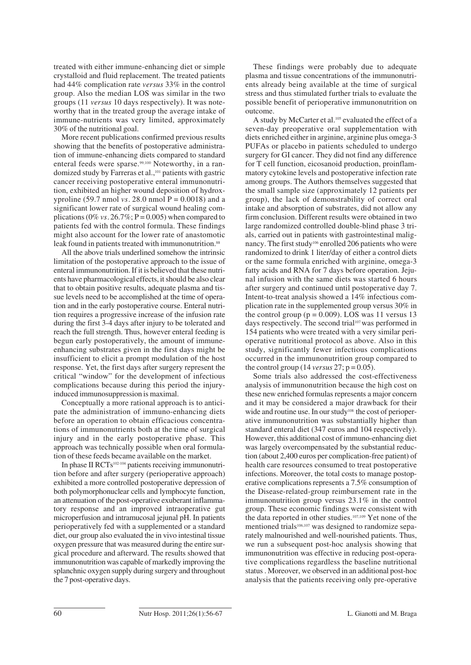treated with either immune-enhancing diet or simple crystalloid and fluid replacement. The treated patients had 44% complication rate *versus* 33% in the control group. Also the median LOS was similar in the two groups (11 *versus* 10 days respectively). It was noteworthy that in the treated group the average intake of immune-nutrients was very limited, approximately 30% of the nutritional goal.

More recent publications confirmed previous results showing that the benefits of postoperative administration of immune-enhancing diets compared to standard enteral feeds were sparse.99,100 Noteworthy, in a randomized study by Farreras et al.,101 patients with gastric cancer receiving postoperative enteral immunonutrition, exhibited an higher wound deposition of hydroxyproline (59.7 nmol *vs.* 28.0 nmol  $P = 0.0018$ ) and a significant lower rate of surgical wound healing complications ( $0\%$  *vs.*  $26.7\%$ ; P = 0.005) when compared to patients fed with the control formula. These findings might also account for the lower rate of anastomotic leak found in patients treated with immunonutrition.<sup>88</sup>

All the above trials underlined somehow the intrinsic limitation of the postoperative approach to the issue of enteral immunonutrition. If it is believed that these nutrients have pharmacological effects, it should be also clear that to obtain positive results, adequate plasma and tissue levels need to be accomplished at the time of operation and in the early postoperative course. Enteral nutrition requires a progressive increase of the infusion rate during the first 3-4 days after injury to be tolerated and reach the full strength. Thus, however enteral feeding is begun early postoperatively, the amount of immuneenhancing substrates given in the first days might be insufficient to elicit a prompt modulation of the host response. Yet, the first days after surgery represent the critical "window" for the development of infectious complications because during this period the injuryinduced immunosuppression is maximal.

Conceptually a more rational approach is to anticipate the administration of immuno-enhancing diets before an operation to obtain efficacious concentrations of immunonutrients both at the time of surgical injury and in the early postoperative phase. This approach was technically possible when oral formulation of these feeds became available on the market.

In phase II RCTs102-104 patients receiving immunonutrition before and after surgery (perioperative approach) exhibited a more controlled postoperative depression of both polymorphonuclear cells and lymphocyte function, an attenuation of the post-operative exuberant inflammatory response and an improved intraoperative gut microperfusion and intramucosal jejunal pH. In patients perioperatively fed with a supplemented or a standard diet, our group also evaluated the in vivo intestinal tissue oxygen pressure that was measured during the entire surgical procedure and afterward. The results showed that immunonutrition was capable of markedly improving the splanchnic oxygen supply during surgery and throughout the 7 post-operative days.

These findings were probably due to adequate plasma and tissue concentrations of the immunonutrients already being available at the time of surgical stress and thus stimulated further trials to evaluate the possible benefit of perioperative immunonutrition on outcome.

A study by McCarter et al.<sup>105</sup> evaluated the effect of a seven-day preoperative oral supplementation with diets enriched either in arginine, arginine plus omega-3 PUFAs or placebo in patients scheduled to undergo surgery for GI cancer. They did not find any difference for T cell function, eicosanoid production, proinflammatory cytokine levels and postoperative infection rate among groups. The Authors themselves suggested that the small sample size (approximately 12 patients per group), the lack of demonstrability of correct oral intake and absorption of substrates, did not allow any firm conclusion. Different results were obtained in two large randomized controlled double-blind phase 3 trials, carried out in patients with gastrointestinal malignancy. The first study<sup>106</sup> enrolled 206 patients who were randomized to drink 1 liter/day of either a control diets or the same formula enriched with arginine, omega-3 fatty acids and RNA for 7 days before operation. Jejunal infusion with the same diets was started 6 hours after surgery and continued until postoperative day 7. Intent-to-treat analysis showed a 14% infectious complication rate in the supplemented group versus 30% in the control group ( $p = 0.009$ ). LOS was 11 versus 13 days respectively. The second trial<sup>107</sup> was performed in 154 patients who were treated with a very similar perioperative nutritional protocol as above. Also in this study, significantly fewer infectious complications occurred in the immunonutrition group compared to the control group  $(14 \text{ versus } 27; p = 0.05)$ .

Some trials also addressed the cost-effectiveness analysis of immunonutrition because the high cost on these new enriched formulas represents a major concern and it may be considered a major drawback for their wide and routine use. In our study<sup>108</sup> the cost of perioperative immunonutrition was substantially higher than standard enteral diet (347 euros and 104 respectively). However, this additional cost of immuno-enhancing diet was largely overcompensated by the substantial reduction (about 2,400 euros per complication-free patient) of health care resources consumed to treat postoperative infections. Moreover, the total costs to manage postoperative complications represents a 7.5% consumption of the Disease-related-group reimbursement rate in the immunonutrition group versus 23.1% in the control group. These economic findings were consistent with the data reported in other studies.107,109 Yet none of the mentioned trials<sup>106,107</sup> was designed to randomize separately malnourished and well-nourished patients. Thus, we run a subsequent post-hoc analysis showing that immunonutrition was effective in reducing post-operative complications regardless the baseline nutritional status . Moreover, we observed in an additional post-hoc analysis that the patients receiving only pre-operative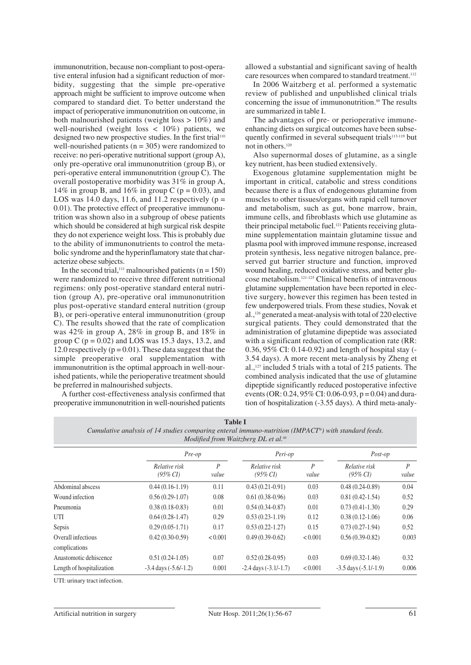immunonutrition, because non-compliant to post-operative enteral infusion had a significant reduction of morbidity, suggesting that the simple pre-operative approach might be sufficient to improve outcome when compared to standard diet. To better understand the impact of perioperative immunonutrition on outcome, in both malnourished patients (weight loss  $> 10\%$ ) and well-nourished (weight loss  $\langle 10\% \rangle$  patients, we designed two new prospective studies. In the first trial<sup>110</sup> well-nourished patients ( $n = 305$ ) were randomized to receive: no peri-operative nutritional support (group A), only pre-operative oral immunonutrition (group B), or peri-operative enteral immunonutrition (group C). The overall postoperative morbidity was 31% in group A, 14% in group B, and 16% in group C ( $p = 0.03$ ), and LOS was 14.0 days, 11.6, and 11.2 respectively ( $p =$ 0.01). The protective effect of preoperative immunonutrition was shown also in a subgroup of obese patients which should be considered at high surgical risk despite they do not experience weight loss. This is probably due to the ability of immunonutrients to control the metabolic syndrome and the hyperinflamatory state that characterize obese subjects.

In the second trial,<sup>111</sup> malnourished patients ( $n = 150$ ) were randomized to receive three different nutritional regimens: only post-operative standard enteral nutrition (group A), pre-operative oral immunonutrition plus post-operative standard enteral nutrition (group B), or peri-operative enteral immunonutrition (group C). The results showed that the rate of complication was 42% in group A, 28% in group B, and 18% in group C ( $p = 0.02$ ) and LOS was 15.3 days, 13.2, and 12.0 respectively ( $p = 0.01$ ). These data suggest that the simple preoperative oral supplementation with immunonutrition is the optimal approach in well-nourished patients, while the perioperative treatment should be preferred in malnourished subjects.

A further cost-effectiveness analysis confirmed that preoperative immunonutrition in well-nourished patients allowed a substantial and significant saving of health care resources when compared to standard treatment.<sup>112</sup>

In 2006 Waitzberg et al. performed a systematic review of published and unpublished clinical trials concerning the issue of immunonutrition.<sup>88</sup> The results are summarized in table I.

The advantages of pre- or perioperative immuneenhancing diets on surgical outcomes have been subsequently confirmed in several subsequent trials<sup>113-119</sup> but not in others.120

Also supernormal doses of glutamine, as a single key nutrient, has been studied extensively.

Exogenous glutamine supplementation might be important in critical, catabolic and stress conditions because there is a flux of endogenous glutamine from muscles to other tissues/organs with rapid cell turnover and metabolism, such as gut, bone marrow, brain, immune cells, and fibroblasts which use glutamine as their principal metabolic fuel.121 Patients receiving glutamine supplementation maintain glutamine tissue and plasma pool with improved immune response, increased protein synthesis, less negative nitrogen balance, preserved gut barrier structure and function, improved wound healing, reduced oxidative stress, and better glucose metabolism.121-125 Clinical benefits of intravenous glutamine supplementation have been reported in elective surgery, however this regimen has been tested in few underpowered trials. From these studies, Novak et al.,126 generated a meat-analysis with total of 220 elective surgical patients. They could demonstrated that the administration of glutamine dipeptide was associated with a significant reduction of complication rate (RR: 0.36, 95% CI: 0.14-0.92) and length of hospital stay (- 3.54 days). A more recent meta-analysis by Zheng et al.,127 included 5 trials with a total of 215 patients. The combined analysis indicated that the use of glutamine dipeptide significantly reduced postoperative infective events (OR: 0.24, 95% CI: 0.06-0.93,  $p = 0.04$ ) and duration of hospitalization (-3.55 days). A third meta-analy-

| <b>Table I</b>                                                                                      |
|-----------------------------------------------------------------------------------------------------|
| Cumulative analysis of 14 studies comparing enteral immuno-nutrition (IMPACT®) with standard feeds. |
| Modified from Waitzberg DL et al. <sup>88</sup>                                                     |

|                                     | Pre-op                    |                           | Peri-op                         |            | Post-op                      |            |
|-------------------------------------|---------------------------|---------------------------|---------------------------------|------------|------------------------------|------------|
|                                     | Relative risk<br>(95% CI) | $\boldsymbol{P}$<br>value | Relative risk<br>$(95\% \, CI)$ | P<br>value | Relative risk<br>$(95\% CI)$ | P<br>value |
| Abdominal abscess                   | $0.44(0.16-1.19)$         | 0.11                      | $0.43(0.21-0.91)$               | 0.03       | $0.48(0.24-0.89)$            | 0.04       |
| Wound infection                     | $0.56(0.29-1.07)$         | 0.08                      | $0.61(0.38-0.96)$               | 0.03       | $0.81(0.42-1.54)$            | 0.52       |
| Pneumonia                           | $0.38(0.18-0.83)$         | 0.01                      | $0.54(0.34-0.87)$               | 0.01       | $0.73(0.41-1.30)$            | 0.29       |
| UTI                                 | $0.64(0.28-1.47)$         | 0.29                      | $0.53(0.23-1.19)$               | 0.12       | $0.38(0.12-1.06)$            | 0.06       |
| Sepsis                              | $0.29(0.05-1.71)$         | 0.17                      | $0.53(0.22 - 1.27)$             | 0.15       | $0.73(0.27-1.94)$            | 0.52       |
| Overall infectious<br>complications | $0.42(0.30-0.59)$         | < 0.001                   | $0.49(0.39-0.62)$               | < 0.001    | $0.56(0.39-0.82)$            | 0.003      |
| Anastomotic dehiscence              | $0.51(0.24-1.05)$         | 0.07                      | $0.52(0.28-0.95)$               | 0.03       | $0.69(0.32-1.46)$            | 0.32       |
| Length of hospitalization           | $-3.4$ days $(-5.6/-1.2)$ | 0.001                     | $-2.4$ days $(-3.1/-1.7)$       | < 0.001    | $-3.5$ days $(-5.1/-1.9)$    | 0.006      |

UTI: urinary tract infection.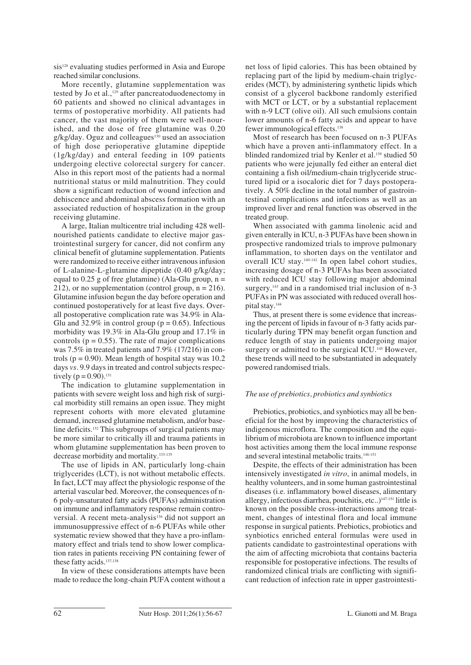sis<sup>128</sup> evaluating studies performed in Asia and Europe reached similar conclusions.

More recently, glutamine supplementation was tested by Jo et al.,<sup>129</sup> after pancreatoduodenectomy in 60 patients and showed no clinical advantages in terms of postoperative morbidity. All patients had cancer, the vast majority of them were well-nourished, and the dose of free glutamine was 0.20  $g/kg/day$ . Oguz and colleagues<sup>130</sup> used an association of high dose perioperative glutamine dipeptide (1g/kg/day) and enteral feeding in 109 patients undergoing elective colorectal surgery for cancer. Also in this report most of the patients had a normal nutritional status or mild malnutrition. They could show a significant reduction of wound infection and dehiscence and abdominal abscess formation with an associated reduction of hospitalization in the group receiving glutamine.

A large, Italian multicentre trial including 428 wellnourished patients candidate to elective major gastrointestinal surgery for cancer, did not confirm any clinical benefit of glutamine supplementation. Patients were randomized to receive either intravenous infusion of L-alanine-L-glutamine dipeptide (0.40 g/kg/day; equal to 0.25 g of free glutamine) (Ala-Glu group,  $n =$ 212), or no supplementation (control group,  $n = 216$ ). Glutamine infusion begun the day before operation and continued postoperatively for at least five days. Overall postoperative complication rate was 34.9% in Ala-Glu and  $32.9\%$  in control group ( $p = 0.65$ ). Infectious morbidity was 19.3% in Ala-Glu group and 17.1% in controls ( $p = 0.55$ ). The rate of major complications was 7.5% in treated patients and 7.9% (17/216) in controls ( $p = 0.90$ ). Mean length of hospital stay was 10.2 days *vs.* 9.9 days in treated and control subjects respectively  $(p = 0.90)$ .<sup>131</sup>

The indication to glutamine supplementation in patients with severe weight loss and high risk of surgical morbidity still remains an open issue. They might represent cohorts with more elevated glutamine demand, increased glutamine metabolism, and/or baseline deficits.132 This subgroups of surgical patients may be more similar to critically ill and trauma patients in whom glutamine supplementation has been proven to decrease morbidity and mortality.133-135

The use of lipids in AN, particularly long-chain triglycerides (LCT), is not without metabolic effects. In fact, LCT may affect the physiologic response of the arterial vascular bed. Moreover, the consequences of n-6 poly-unsaturated fatty acids (PUFAs) administration on immune and inflammatory response remain controversial. A recent meta-analysis<sup>136</sup> did not support an immunosuppressive effect of n-6 PUFAs while other systematic review showed that they have a pro-inflammatory effect and trials tend to show lower complication rates in patients receiving PN containing fewer of these fatty acids.<sup>137,138</sup>

In view of these considerations attempts have been made to reduce the long-chain PUFA content without a net loss of lipid calories. This has been obtained by replacing part of the lipid by medium-chain triglycerides (MCT), by administering synthetic lipids which consist of a glycerol backbone randomly esterified with MCT or LCT, or by a substantial replacement with n-9 LCT (olive oil). All such emulsions contain lower amounts of n-6 fatty acids and appear to have fewer immunological effects.138

Most of research has been focused on n-3 PUFAs which have a proven anti-inflammatory effect. In a blinded randomized trial by Kenler et al.<sup>139</sup> studied 50 patients who were jejunally fed either an enteral diet containing a fish oil/medium-chain triglyceride structured lipid or a isocaloric diet for 7 days postoperatively. A 50% decline in the total number of gastrointestinal complications and infections as well as an improved liver and renal function was observed in the treated group.

When associated with gamma linolenic acid and given enterally in ICU, n-3 PUFAs have been shown in prospective randomized trials to improve pulmonary inflammation, to shorten days on the ventilator and overall ICU stay.140-142 In open label cohort studies, increasing dosage of n-3 PUFAs has been associated with reduced ICU stay following major abdominal surgery, $143$  and in a randomised trial inclusion of n-3 PUFAs in PN was associated with reduced overall hospital stay.144

Thus, at present there is some evidence that increasing the percent of lipids in favour of n-3 fatty acids particularly during TPN may benefit organ function and reduce length of stay in patients undergoing major surgery or admitted to the surgical ICU.<sup>145</sup> However, these trends will need to be substantiated in adequately powered randomised trials.

#### *The use of prebiotics, probiotics and synbiotics*

Prebiotics, probiotics, and synbiotics may all be beneficial for the host by improving the characteristics of indigenous microflora. The composition and the equilibrium of microbiota are known to influence important host activities among them the local immune response and several intestinal metabolic traits.<sup>146-151</sup>

Despite, the effects of their administration has been intensively investigated *in vitro*, in animal models, in healthy volunteers, and in some human gastrointestinal diseases (i.e. inflammatory bowel diseases, alimentary allergy, infectious diarrhea, pouchitis, etc..)<sup>147-151</sup> little is known on the possible cross-interactions among treatment, changes of intestinal flora and local immune response in surgical patients. Prebiotics, probiotics and synbiotics enriched enteral formulas were used in patients candidate to gastrointestinal operations with the aim of affecting microbiota that contains bacteria responsible for postoperative infections. The results of randomized clinical trials are conflicting with significant reduction of infection rate in upper gastrointesti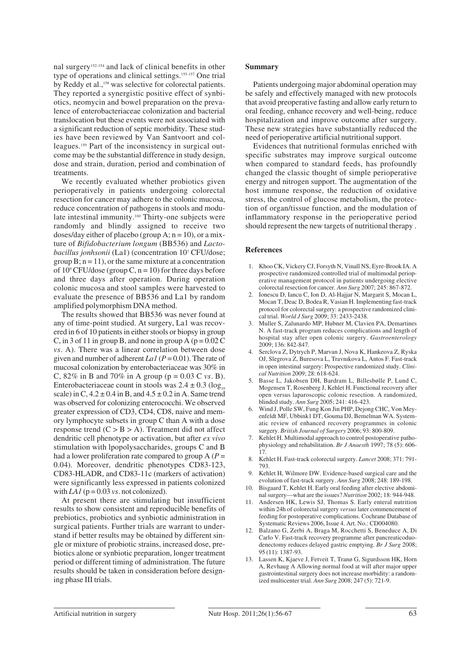nal surgery152-154 and lack of clinical benefits in other type of operations and clinical settings.155-157 One trial by Reddy et al.,<sup>158</sup> was selective for colorectal patients. They reported a synergistic positive effect of synbiotics, neomycin and bowel preparation on the prevalence of enterobacteriaceae colonization and bacterial translocation but these events were not associated with a significant reduction of septic morbidity. These studies have been reviewed by Van Santvoort and colleagues.159 Part of the inconsistency in surgical outcome may be the substantial difference in study design, dose and strain, duration, period and combination of treatments.

We recently evaluated whether probiotics given perioperatively in patients undergoing colorectal resection for cancer may adhere to the colonic mucosa, reduce concentration of pathogens in stools and modulate intestinal immunity.<sup>160</sup> Thirty-one subjects were randomly and blindly assigned to receive two doses/day either of placebo (group A;  $n = 10$ ), or a mixture of *Bifidobacterium longum* (BB536) and *Lactobacillus jonhsonii* (La1) (concentration 107 CFU/dose; group  $B$ ;  $n = 11$ ), or the same mixture at a concentration of  $10^9$  CFU/dose (group C, n = 10) for three days before and three days after operation. During operation colonic mucosa and stool samples were harvested to evaluate the presence of BB536 and La1 by random amplified polymorphism DNA method.

The results showed that BB536 was never found at any of time-point studied. At surgery, La1 was recovered in 6 of 10 patients in either stools or biopsy in group C, in 3 of 11 in group B, and none in group A ( $p = 0.02$  C *vs.* A). There was a linear correlation between dose given and number of adherent *La1* (*P* = 0.01). The rate of mucosal colonization by enterobacteriaceae was 30% in C,  $82\%$  in B and  $70\%$  in A group ( $p = 0.03$  C *vs.* B). Enterobacteriaceae count in stools was  $2.4 \pm 0.3$  (log<sub>10</sub>) scale) in C,  $4.2 \pm 0.4$  in B, and  $4.5 \pm 0.2$  in A. Same trend was observed for colonizing enterococchi. We observed greater expression of CD3, CD4, CD8, naive and memory lymphocyte subsets in group C than A with a dose response trend  $(C > B > A)$ . Treatment did not affect dendritic cell phenotype or activation, but after *ex vivo* stimulation with lpopolysaccharides, groups C and B had a lower proliferation rate compared to group A (*P* = 0.04). Moreover, dendritic phenotypes CD83-123, CD83-HLADR, and CD83-11c (markers of activation) were significantly less expressed in patients colonized with *LA1* ( $p = 0.03$  *vs.* not colonized).

At present there are stimulating but insufficient results to show consistent and reproducible benefits of prebiotics, probiotics and synbiotic administration in surgical patients. Further trials are warrant to understand if better results may be obtained by different single or mixture of probiotic strains, increased dose, prebiotics alone or synbiotic preparation, longer treatment period or different timing of administration. The future results should be taken in consideration before designing phase III trials.

#### **Summary**

Patients undergoing major abdominal operation may be safely and effectively managed with new protocols that avoid preoperative fasting and allow early return to oral feeding, enhance recovery and well-being, reduce hospitalization and improve outcome after surgery. These new strategies have substantially reduced the need of perioperative artificial nutritional support.

Evidences that nutritional formulas enriched with specific substrates may improve surgical outcome when compared to standard feeds, has profoundly changed the classic thought of simple perioperative energy and nitrogen support. The augmentation of the host immune response, the reduction of oxidative stress, the control of glucose metabolism, the protection of organ/tissue function, and the modulation of inflammatory response in the perioperative period should represent the new targets of nutritional therapy .

#### **References**

- 1. Khoo CK, Vickery CJ, Forsyth N, Vinall NS, Eyre-Brook IA. A prospective randomized controlled trial of multimodal perioperative management protocol in patients undergoing elective colorectal resection for cancer. *Ann Surg* 2007; 245: 867-872.
- 2. Ionescu D, Iancu C, Ion D, Al-Hajjar N, Margarit S, Mocan L, Mocan T, Deac D, Bodea R, Vasian H. Implementing fast-track protocol for colorectal surgery: a prospective randomized clinical trial. *World J Surg* 2009; 33: 2433-2438.
- 3. Muller S, Zalunardo MP, Hubner M, Clavien PA, Demartines N. A fast-track program reduces complications and length of hospital stay after open colonic surgery. *Gastroenterology* 2009; 136: 842-847.
- 4. Serclova Z, Dytrych P, Marvan J, Nova K, Hankeova Z, Ryska OJ, Slegrova Z, Buresova L, Travnıkova L, Antos F. Fast-track in open intestinal surgery: Prospective randomized study. *Clinical Nutrition* 2009; 28: 618-624.
- 5. Basse L, Jakobsen DH, Bardram L, Billesbølle P, Lund C, Mogensen T, Rosenberg J, Kehlet H. Functional recovery after open versus laparoscopic colonic resection. A randomized, blinded study. *Ann Surg* 2005; 241: 416-423.
- 6. Wind J, Polle SW, Fung Kon Jin PHP, Dejong CHC, Von Meyenfeldt MF, Ubbink1 DT, Gouma DJ, Bemelman WA. Systematic review of enhanced recovery programmes in colonic surgery. *British Journal of Surgery* 2006; 93: 800-809.
- 7. Kehlet H. Multimodal approach to control postoperative pathophysiology and rehabilitation. *Br J Anaesth* 1997; 78 (5): 606- 17.
- 8. Kehlet H. Fast-track colorectal surgery. *Lancet* 2008; 371: 791- 793.
- 9. Kehlet H, Wilmore DW. Evidence-based surgical care and the evolution of fast-track surgery. *Ann Surg* 2008; 248: 189-198.
- 10. Bisgaard T, Kehlet H. Early oral feeding after elective abdominal surgery—what are the issues? *Nutrition* 2002; 18: 944-948.
- 11. Andersen HK, Lewis SJ, Thomas S. Early enteral nutrition within 24h of colorectal surgery *versus* later commencement of feeding for postoperative complications. Cochrane Database of Systematic Reviews 2006, Issue 4. Art. No.: CD004080.
- 12. Balzano G, Zerbi A, Braga M, Rocchetti S, Beneduce A, Di Carlo V. Fast-track recovery programme after pancreaticoduodenectomy reduces delayed gastric emptying. *Br J Surg* 2008; 95 (11): 1387-93.
- 13. Lassen K, Kjaeve J, Fetveit T, Tranø G, Sigurdsson HK, Horn A, Revhaug A Allowing normal food at will after major upper gastrointestinal surgery does not increase morbidity: a randomized multicenter trial. *Ann Surg* 2008; 247 (5): 721-9.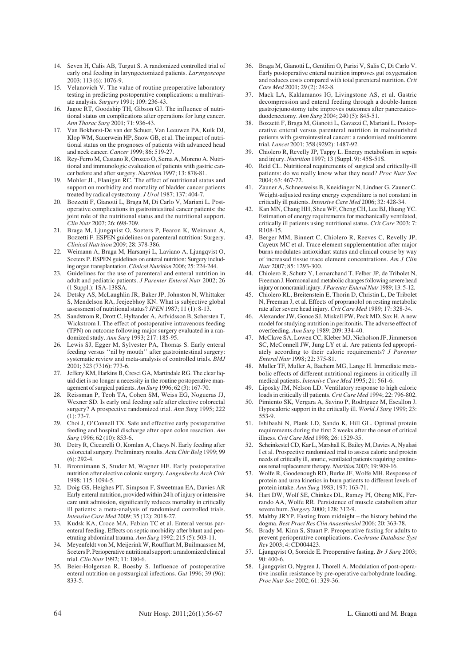- 14. Seven H, Calis AB, Turgut S. A randomized controlled trial of early oral feeding in laryngectomized patients. *Laryngoscope*  $2003:113(6):1076-9$ .
- 15. Velanovich V. The value of routine preoperative laboratory testing in predicting postoperative complications: a multivariate analysis. *Surgery* 1991; 109: 236-43.
- 16. Jagoe RT, Goodship TH, Gibson GJ. The influence of nutritional status on complications after operations for lung cancer. *Ann Thorac Surg* 2001; 71: 936-43.
- 17. Van Bokhorst-De van der Schuer, Van Leeuwen PA, Kuik DJ, Klop WM, Sauerwein HP, Snow GB, et al. The impact of nutritional status on the prognoses of patients with advanced head and neck cancer. *Cancer* 1999; 86: 519-27.
- 18. Rey-Ferro M, Castano R, Orozco O, Serna A, Moreno A. Nutritional and immunologic evaluation of patients with gastric cancer before and after surgery. *Nutrition* 1997; 13: 878-81.
- 19. Mohler JL, Flanigan RC. The effect of nutritional status and support on morbidity and mortality of bladder cancer patients treated by radical cystectomy. *J Urol* 1987; 137: 404-7.
- 20. Bozzetti F, Gianotti L, Braga M, Di Carlo V, Mariani L. Postoperative complications in gastrointestinal cancer patients: the joint role of the nutritional status and the nutritional support. *Clin Nutr* 2007; 26: 698-709.
- 21. Braga M, Ljungqvist O, Soeters P, Fearon K, Weimann A, Bozzetti F. ESPEN guidelines on parenteral nutrition: Surgery. *Clinical Nutrition* 2009; 28: 378-386.
- 22. Weimann A, Braga M, Harsanyi L, Laviano A, Ljungqvist O, Soeters P. ESPEN guidelines on enteral nutrition: Surgery including organ transplantation. *Clinical Nutrition* 2006; 25: 224-244.
- 23. Guidelines for the use of parenteral and enteral nutrition in adult and pediatric patients. *J Parenter Enteral Nutr* 2002; 26 (1 Suppl.): 1SA-138SA.
- 24. Detsky AS, McLaughlin JR, Baker JP, Johnston N, Whittaker S, Mendelson RA, Jeejeebhoy KN. What is subjective global assessment of nutritional status? *JPEN* 1987; 11 (1): 8-13.
- 25. Sandstrom R, Drott C, Hyltander A, Arfvidsson B, Schersten T, Wickstrom I. The effect of postoperative intravenous feeding (TPN) on outcome following major surgery evaluated in a randomized study. *Ann Surg* 1993; 217: 185-95.
- 26. Lewis SJ, Egger M, Sylvester PA, Thomas S. Early enteral feeding versus ''nil by mouth'' after gastrointestinal surgery: systematic review and meta-analysis of controlled trials. *BMJ* 2001; 323 (7316): 773-6.
- 27. Jeffery KM, Harkins B, Cresci GA, Martindale RG. The clear liquid diet is no longer a necessity in the routine postoperative management of surgical patients. *Am Surg* 1996; 62 (3): 167-70.
- Reissman P, Teoh TA, Cohen SM, Weiss EG, Nogueras JJ, Wexner SD. Is early oral feeding safe after elective colorectal surgery? A prospective randomized trial. *Ann Surg* 1995; 222  $(1)$ : 73-7.
- 29. Choi J, O'Connell TX. Safe and effective early postoperative feeding and hospital discharge after open colon resection. *Am Surg* 1996; 62 (10): 853-6.
- 30. Detry R, Ciccarelli O, Komlan A, Claeys N. Early feeding after colorectal surgery. Preliminary results. *Acta Chir Belg* 1999; 99  $(6)$ : 292-4.
- 31. Bronnimann S, Studer M, Wagner HE. Early postoperative nutrition after elective colonic surgery. *Langenbecks Arch Chir* 1998; 115: 1094-5.
- 32. Doig GS, Heighes PT, Simpson F, Sweetman EA, Davies AR Early enteral nutrition, provided within 24 h of injury or intensive care unit admission, significantly reduces mortality in critically ill patients: a meta-analysis of randomised controlled trials. *Intensive Care Med* 2009; 35 (12): 2018-27.
- 33. Kudsk KA, Croce MA, Fabian TC et al. Enteral versus parenteral feeding. Effects on septic morbidity after blunt and penetrating abdominal trauma. *Ann Surg* 1992; 215 (5): 503-11.
- 34. Meyenfeldt von M, Meijerink W, Roufflart M, Builmaassen M, Soeters P. Perioperative nutritional support: a randomized clinical trial. *Clin Nutr* 1992; 11: 180-6.
- 35. Beier-Holgersen R, Boesby S. Influence of postoperative enteral nutrition on postsurgical infections. *Gut* 1996; 39 (96): 833-5.
- 36. Braga M, Gianotti L, Gentilini O, Parisi V, Salis C, Di Carlo V. Early postoperative enteral nutrition improves gut oxygenation and reduces costs compared with total parenteral nutrition. *Crit Care Med* 2001; 29 (2): 242-8.
- 37. Mack LA, Kaklamanos IG, Livingstone AS, et al. Gastric decompression and enteral feeding through a double-lumen gastrojejunostomy tube improves outcomes after pancreaticoduodenectomy. *Ann Surg* 2004; 240 (5): 845-51.
- 38. Bozzetti F, Braga M, Gianotti L, Gavazzi C, Mariani L. Postoperative enteral versus parenteral nutrition in malnourished patients with gastrointestinal cancer: a randomised multicentre trial. *Lancet* 2001; 358 (9292): 1487-92.
- 39. Chiolero R, Revelly JP, Tappy L. Energy metabolism in sepsis and injury. *Nutrition* 1997; 13 (Suppl. 9): 45S-51S.
- Reid CL. Nutritional requirements of surgical and critically-ill patients: do we really know what they need? *Proc Nutr Soc*  $2004.63.467.72$
- 41. Zauner A, Schneeweiss B, Kneidinger N, Lindner G, Zauner C. Weight-adjusted resting energy expenditure is not constant in critically ill patients. *Intensive Care Med* 2006; 32: 428-34.
- 42. Kan MN, Chang HH, Sheu WF, Cheng CH, Lee BJ, Huang YC. Estimation of energy requirements for mechanically ventilated, critically ill patients using nutritional status. *Crit Care* 2003; 7: R108-15.
- 43. Berger MM, Binnert C, Chiolero R, Reeves C, Revelly JP, Cayeux MC et al. Trace element supplementation after major burns modulates antioxidant status and clinical course by way of increased tissue trace element concentrations. *Am J Clin Nutr* 2007; 85: 1293-300.
- 44. Chiolero R, Schutz Y, Lemarchand T, Felber JP, de Tribolet N, Freeman J. Hormonal and metabolic changes following severe head injury or noncranial injury. *J Parenter Enteral Nutr* 1989; 13: 5-12.
- 45. Chiolero RL, Breitenstein E, Thorin D, Christin L, De Tribolet N, Freeman J, et al. Effects of propranolol on resting metabolic rate after severe head injury. *Crit Care Med* 1989; 17: 328-34.
- 46. Alexander JW, Gonce SJ, Miskell PW, Peck MD, Sax H. A new model for studying nutrition in peritonitis. The adverse effect of overfeeding. *Ann Surg* 1989; 209: 334-40.
- 47. McClave SA, Lowen CC, Kleber MJ, Nicholson JF, Jimmerson SC, McConnell JW, Jung LY et al. Are patients fed appropriately according to their caloric requirements? *J Parenter Enteral Nutr* 1998; 22: 375-81.
- 48. Muller TF, Muller A, Bachem MG, Lange H. Immediate metabolic effects of different nutritional regimens in critically ill medical patients. *Intensive Care Med* 1995; 21: 561-6.
- 49. Liposky JM, Nelson LD. Ventilatory response to high caloric loads in critically ill patients. *Crit Care Med* 1994; 22: 796-802.
- 50. Pimiento SK, Vergara A, Savino P, Rodríguez M, Escallon J. Hypocaloric support in the critically ill. *World J Surg* 1999; 23: 553-9.
- 51. Ishibashi N, Plank LD, Sando K, Hill GL. Optimal protein requirements during the first 2 weeks after the onset of critical illness. *Crit Care Med* 1998; 26: 1529-35.
- 52. Scheinkestel CD, Kar L, Marshall K, Bailey M, Davies A, Nyulasi I et al. Prospective randomized trial to assess caloric and protein needs of critically ill, anuric, ventilated patients requiring continuous renal replacement therapy. *Nutrition* 2003; 19: 909-16.
- 53. Wolfe R, Goodenough RD, Burke JF, Wolfe MH. Response of protein and urea kinetics in burn patients to different levels of protein intake. *Ann Surg* 1983; 197: 163-71.
- 54. Hart DW, Wolf SE, Chinkes DL, Ramzy PI, Obeng MK, Ferrando AA, Wolfe RR. Persistence of muscle catabolism after severe burn. *Surgery* 2000; 128: 312-9.
- 55. Maltby JRYP. Fasting from midnight the history behind the dogma. *Best Pract Res Clin Anaesthesiol* 2006; 20: 363-78.
- 56. Brady M, Kinn S, Stuart P. Preoperative fasting for adults to prevent perioperative complications. *Cochrane Database Syst Rev* 2003; 4: CD004423.
- 57. Ljungqvist O, Soreide E. Preoperative fasting. *Br J Surg* 2003;  $90:400-6.$
- 58. Ljungqvist O, Nygren J, Thorell A. Modulation of post-operative insulin resistance by pre-operative carbohydrate loading. *Proc Nutr Soc* 2002; 61: 329-36.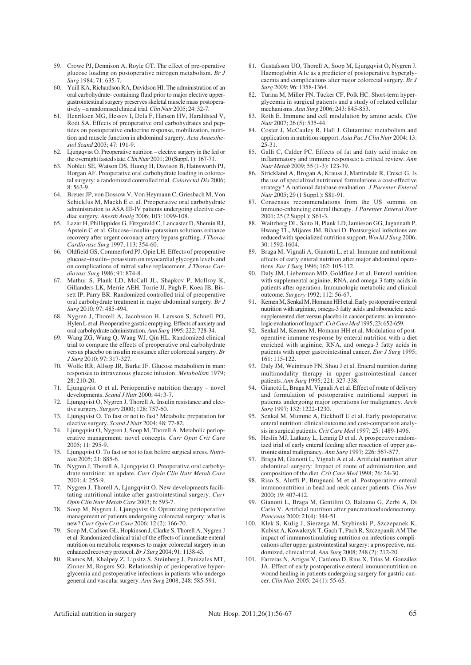- 59. Crowe PJ, Dennison A, Royle GT. The effect of pre-operative glucose loading on postoperative nitrogen metabolism. *Br J Surg* 1984; 71: 635-7.
- 60. Yuill KA, Richardson RA, Davidson HI. The administration of an oral carbohydrate- containing fluid prior to major elective uppergastrointestinal surgery preserves skeletal muscle mass postoperatively – a randomised clinical trial. *Clin Nutr* 2005; 24: 32-7.
- 61. Henriksen MG, Hessov I, Dela F, Hansen HV, Haraldsted V, Rodt SA. Effects of preoperative oral carbohydrates and peptides on postoperative endocrine response, mobilization, nutrition and muscle function in abdominal surgery. *Acta Anaesthesiol Scand* 2003; 47: 191-9.
- 62. Ljungqvist O. Preoperative nutrition elective surgery in the fed or the overnight fasted state. *Clin Nutr* 2001; 20 (Suppl. 1): 167-71.
- 63. Noblett SE, Watson DS, Huong H, Davison B, Hainsworth PJ, Horgan AF. Preoperative oral carbohydrate loading in colorectal surgery: a randomized controlled trial. *Colorectal Dis* 2006; 8: 563-9.
- 64. Breuer JP, von Dossow V, Von Heymann C, Griesbach M, Von Schickfus M, Mackh E et al. Preoperative oral carbohydrate administration to ASA III-IV patients undergoing elective cardiac surgery. *Anesth Analg* 2006; 103: 1099-108.
- 65. Lazar H, Phillippides G, Fitzgerald C, Lancaster D, Shemin RJ, Apstein C et al. Glucose–insulin–potassium solutions enhance recovery after urgent coronary artery bypass grafting. *J Thorac Cardiovasc Surg* 1997; 113: 354-60.
- 66. Oldfield GS, Commerford PJ, Opie LH. Effects of preoperative glucose–insulin– potassium on myocardial glycogen levels and on complications of mitral valve replacement. *J Thorac Cardiovasc Surg* 1986; 91: 874-8.
- 67. Mathur S, Plank LD, McCall JL, Shapkov P, McIlroy K, Gillanders LK, Merrie AEH, Torrie JJ, Pugh F, Koea JB, Bissett IP, Parry BR. Randomized controlled trial of preoperative oral carbohydrate treatment in major abdominal surgery. *Br J Surg* 2010; 97: 485-494.
- 68. Nygren J, Thorell A, Jacobsson H, Larsson S, Schnell PO, Hylen L et al. Preoperative gastric emptying. Effects of anxiety and oral carbohydrate administration. *Ann Surg* 1995; 222: 728-34.
- 69. Wang ZG, Wang Q, Wang WJ, Qin HL. Randomized clinical trial to compare the effects of preoperative oral carbohydrate versus placebo on insulin resistance after colorectal surgery. *Br J Surg* 2010; 97: 317-327.
- 70. Wolfe RR, Allsop JR, Burke JF. Glucose metabolism in man: responses to intravenous glucose infusion. *Metabolism* 1979; 28: 210-20.
- 71. Ljungqvist O et al. Perioperative nutrition therapy novel developments. *Scand J Nutr* 2000; 44: 3-7.
- 72. Ljungqvist O, Nygren J, Thorell A. Insulin resistance and elective surgery. *Surgery* 2000; 128: 757-60.
- 73. Ljungqvist O. To fast or not to fast? Metabolic preparation for elective surgery. *Scand J Nutr* 2004; 48: 77-82.
- 74. Ljungqvist O, Nygren J, Soop M, Thorell A. Metabolic perioperative management: novel concepts. *Curr Opin Crit Care* 2005; 11: 295-9.
- 75. Ljungqvist O. To fast or not to fast before surgical stress. *Nutrition* 2005; 21: 885-6.
- 76. Nygren J, Thorell A, Ljungqvist O. Preoperative oral carbohydrate nutrition: an update. *Curr Opin Clin Nutr Metab Care* 2001; 4: 255-9.
- 77. Nygren J, Thorell A, Ljungqvist O. New developments facilitating nutritional intake after gastrointestinal surgery. *Curr Opin Clin Nutr Metab Care* 2003; 6: 593-7.
- 78. Soop M, Nygren J, Ljungqvist O. Optimizing perioperative management of patients undergoing colorectal surgery: what is new? *Curr Opin Crit Care* 2006; 12 (2): 166-70.
- 79. Soop M, Carlson GL, Hopkinson J, Clarke S, Thorell A, Nygren J et al. Randomized clinical trial of the effects of immediate enteral nutrition on metabolic responses to major colorectal surgery in an enhanced recovery protocol. *Br J Surg* 2004; 91: 1138-45.
- 80. Ramos M, Khalpey Z, Lipsitz S, Steinberg J, Panizales MT, Zinner M, Rogers SO. Relationship of perioperative hyperglycemia and postoperative infections in patients who undergo general and vascular surgery. *Ann Surg* 2008; 248: 585-591.
- 81. Gustafsson UO, Thorell A, Soop M, Ljungqvist O, Nygren J. Haemoglobin A1c as a predictor of postoperative hyperglycaemia and complications after major colorectal surgery. *Br J Surg* 2009; 96: 1358-1364.
- 82. Turina M, Miller FN, Tucker CF, Polk HC. Short-term hyperglycemia in surgical patients and a study of related cellular mechanisms. *Ann Surg* 2006; 243: 845-853.
- 83. Roth E. Immune and cell modulation by amino acids. *Clin Nutr* 2007; 26 (5): 535-44.
- Coster J, McCauley R, Hall J. Glutamine: metabolism and application in nutrition support. *Asia Pac J Clin Nutr* 2004; 13:  $25-31$
- 85. Galli C, Calder PC. Effects of fat and fatty acid intake on inflammatory and immune responses: a critical review. *Ann Nutr Metab* 2009; 55 (1-3): 123-39.
- 86. Strickland A, Brogan A, Krauss J, Martindale R, Cresci G. Is the use of specialized nutritional formulations a cost-effective strategy? A national database evaluation. *J Parenter Enteral Nutr* 2005; 29 (1 Suppl.): S81-91.
- 87. Consensus recommendations from the US summit on immune-enhancing enteral therapy. *J Parenter Enteral Nutr* 2001; 25 (2 Suppl.): S61-3.
- 88. Waitzberg DL, Saito H, Plank LD, Jamieson GG, Jagannath P, Hwang TL, Mijares JM, Bihari D. Postsurgical infections are reduced with specialized nutrition support. *World J Surg* 2006; 30: 1592-1604.
- 89. Braga M, Vignali A, Gianotti L, et al. Immune and nutritional effects of early enteral nutrition after major abdominal operations. *Eur J Surg* 1996; 162: 105-112.
- Daly JM, Lieberman MD, Goldfine J et al. Enteral nutrition with supplemental arginine, RNA, and omega 3 fatty acids in patients after operation. Immunologic metabolic and clinical outcome. *Surgery* 1992; 112: 56-67.
- 91. Kemen M, Senkal M, Homann HH et al. Early postoperative enteral nutrition with arginine, omega-3 fatty acids and ribonucleic acidsupplemented diet versus placebo in cancer patients: an immunologic evaluation of Impact®. *Crit Care Med*1995; 23: 652-659.
- 92. Senkal M, Kemen M, Homann HH et al. Modulation of postoperative immune response by enteral nutrition with a diet enriched with arginine, RNA, and omega-3 fatty acids in patients with upper gastrointestinal cancer. *Eur J Surg* 1995; 161: 115-122.
- 93. Daly JM, Weintraub FN, Shou J et al. Enteral nutrition during multimodality therapy in upper gastrointestinal cancer patients. *Ann Surg* 1995; 221: 327-338.
- 94. Gianotti L, Braga M, Vignali A et al. Effect of route of delivery and formulation of postoperative nutritional support in patients undergoing major operations for malignancy. *Arch Surg* 1997; 132: 1222-1230.
- 95. Senkal M, Mumme A, Eickhoff U et al. Early postoperative enteral nutrition: clinical outcome and cost-comparison analysis in surgical patients. *Crit Care Med* 1997; 25: 1489-1496.
- 96. Heslin MJ, Latkany L, Lennig D et al. A prospective randomized trial of early enteral feeding after resection of upper gastrointestinal malignancy. *Ann Surg* 1997; 226: 567-577.
- 97. Braga M, Gianotti L, Vignali A et al. Artificial nutrition after abdominal surgery: Impact of route of administration and composition of the diet. *Crit Care Med* 1998; 26: 24-30.
- 98. Riso S, Aluffi P, Brugnani M et al. Postoperative enteral immunonutrition in head and neck cancer patients. *Clin Nutr*  $2000:19:407-412$ .
- 99. Gianotti L, Braga M, Gentilini O, Balzano G, Zerbi A, Di Carlo V. Artificial nutrition after pancreaticoduodenectomy. *Pancreas* 2000; 21(4): 344-51.
- 100. Klek S, Kulig J, Sierzega M, Szybinski P, Szczepanek K, Kubisz A, Kowalczyk T, Gach T, Pach R, Szczepanik AM The impact of immunostimulating nutrition on infectious complications after upper gastrointestinal surgery: a prospective, randomized, clinical trial. *Ann Surg* 2008; 248 (2): 212-20.
- 101. Farreras N, Artigas V, Cardona D, Rius X, Trias M, González JA. Effect of early postoperative enteral immunonutrition on wound healing in patients undergoing surgery for gastric cancer. *Clin Nutr* 2005; 24 (1): 55-65.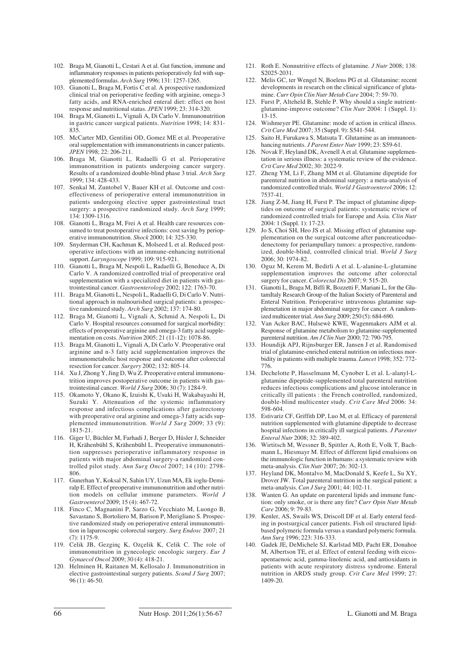- 102. Braga M, Gianotti L, Cestari A et al. Gut function, immune and inflammatory responses in patients perioperatively fed with supplemented formulas. *Arch Surg* 1996; 131: 1257-1265.
- 103. Gianotti L, Braga M, Fortis C et al. A prospective randomized clinical trial on perioperative feeding with arginine, omega-3 fatty acids, and RNA-enriched enteral diet: effect on host response and nutritional status. *JPEN* 1999; 23: 314-320.
- 104. Braga M, Gianotti L, Vignali A, Di Carlo V. Immunonutrition in gastric cancer surgical patients. *Nutrition* 1998; 14: 831- 835.
- 105. McCarter MD, Gentilini OD, Gomez ME et al. Preoperative oral supplementation with immunonutrients in cancer patients. *JPEN* 1998; 22: 206-211.
- 106. Braga M, Gianotti L, Radaelli G et al. Perioperative immunonutrition in patients undergoing cancer surgery. Results of a randomized double-blind phase 3 trial. *Arch Surg* 1999; 134: 428-433.
- 107. Senkal M, Zuntobel V, Bauer KH et al. Outcome and costeffectiveness of perioperative enteral immunonutrition in patients undergoing elective upper gastrointestinal tract surgery: a prospective randomized study. *Arch Surg* 1999; 134: 1309-1316.
- 108. Gianotti L, Braga M, Frei A et al. Health care resources consumed to treat postoperative infections: cost saving by perioperative immunonutrition. *Shock* 2000; 14: 325-330.
- 109. Snyderman CH, Kachman K, Molseed L et al. Reduced postoperative infections with an immune-enhancing nutritional support. *Laryngoscope* 1999; 109: 915-921.
- 110. Gianotti L, Braga M, Nespoli L, Radaelli G, Beneduce A, Di Carlo V. A randomized controlled trial of preoperative oral supplementation with a specialized diet in patients with gastrointestinal cancer. *Gastroenterology* 2002; 122: 1763-70.
- 111. Braga M, Gianotti L, Nespoli L, Radaelli G, Di Carlo V. Nutritional approach in malnourished surgical patients: a prospective randomized study. *Arch Surg* 2002; 137: 174-80.
- 112. Braga M, Gianotti L, Vignali A, Schmid A, Nespoli L, Di Carlo V. Hospital resources consumed for surgical morbidity: effects of preoperative arginine and omega-3 fatty acid supplementation on costs. *Nutrition* 2005; 21 (11-12): 1078-86.
- 113. Braga M, Gianotti L, Vignali A, Di Carlo V. Preoperative oral arginine and n-3 fatty acid supplementation improves the immunometabolic host response and outcome after colorectal resection for cancer. *Surgery* 2002; 132: 805-14.
- 114. Xu J, Zhong Y, Jing D, Wu Z. Preoperative enteral immunonutrition improves postoperative outcome in patients with gastrointestinal cancer. *World J Surg* 2006; 30 (7): 1284-9.
- 115. Okamoto Y, Okano K, Izuishi K, Usuki H, Wakabayashi H, Suzuki Y. Attenuation of the systemic inflammatory response and infectious complications after gastrectomy with preoperative oral arginine and omega-3 fatty acids supplemented immunonutrition. *World J Surg* 2009; 33 (9): 1815-21.
- 116. Giger U, Büchler M, Farhadi J, Berger D, Hüsler J, Schneider H, Krähenbühl S, Krähenbühl L. Preoperative immunonutrition suppresses perioperative inflammatory response in patients with major abdominal surgery-a randomized controlled pilot study. *Ann Surg Oncol* 2007; 14 (10): 2798- 806.
- 117. Gunerhan Y, Koksal N, Sahin UY, Uzun MA, Ek ioglu-Demiralp E. Effect of preoperative immunonutrition and other nutrition models on cellular immune parameters. *World J Gastroenterol* 2009; 15 (4): 467-72.
- 118. Finco C, Magnanini P, Sarzo G, Vecchiato M, Luongo B, Savastano S, Bortoliero M, Barison P, Merigliano S. Prospective randomized study on perioperative enteral immunonutrition in laparoscopic colorectal surgery. *Surg Endosc* 2007; 21 (7): 1175-9.
- 119. Celik JB, Gezginç K, Ozçelik K, Celik C. The role of immunonutrition in gynecologic oncologic surgery. *Eur J Gynaecol Oncol* 2009; 30 (4): 418-21.
- 120. Helminen H, Raitanen M, Kellosalo J. Immunonutrition in elective gastrointestinal surgery patients. *Scand J Surg* 2007; 96 (1): 46-50.
- 121. Roth E. Nonnutritive effects of glutamine. *J Nutr* 2008; 138: S2025-2031.
- 122. Melis GC, ter Wengel N, Boelens PG et al. Glutamine: recent developments in research on the clinical significance of glutamine. *Curr Opin Clin Nutr Metab Care* 2004; 7: 59-70.
- 123. Furst P, Alteheld B, Stehle P. Why should a single nutrientglutamine-improve outcome? *Clin Nutr* 2004: 1 (Suppl. 1):  $13 - 15$ .
- 124. Wishmeyer PE. Glutamine: mode of action in critical illness. *Crit Care Med* 2007; 35 (Suppl. 9): S541-544.
- 125. Saito H, Furukawa S, Matsuta T. Glutamine as an immunoenhancing nutrients. *J Parent Enter Nutr* 1999; 23: S59-61.
- 126. Novak F, Heyland DK, Avenell A et al. Glutamine supplementation in serious illness: a systematic review of the evidence. *Crit Care Med* 2002; 30: 2022-9.
- 127. Zheng YM, Li F, Zhang MM et al. Glutamine dipeptide for parenteral nutrition in abdominal surgery: a meta-analysis of randomized controlled trials. *World J Gastroenterol* 2006; 12: 7537-41.
- 128. Jiang Z-M, Jiang H, Furst P. The impact of glutamine dipeptides on outcome of surgical patients: systematic review of randomized controlled trials for Europe and Asia. *Clin Nutr* 2004: 1 (Suppl. 1): 17-23.
- 129. Jo S, Choi SH, Heo JS et al. Missing effect of glutamine supplementation on the surgical outcome after pancreaticoduodenectomy for periampullary tumors: a prospective, randomized, double-blind, controlled clinical trial. *World J Surg* 2006; 30: 1974-82.
- 130. Oguz M, Kerem M, Bedirli A et al. L-alanine-L-glutamine supplementation improves the outcome after colorectal surgery for cancer. *Colorectal Dis* 2007; 9: 515-20.
- 131. Gianotti L, Braga M, Biffi R, Bozzetti F, Mariani L, for the GlutamItaly Research Group of the Italian Society of Parenteral and Enteral Nutrition. Perioperative intravenous glutamine supplemetation in major abdominal surgery for cancer. A randomized multicenter trial. *Ann Surg* 2009; 250 (5): 684-690.
- 132. Van Acker BAC, Hulsewè KWE, Wagenmakers AJM et al. Response of glutamine metabolism to glutamine-supplemented parenteral nutrition. *Am J Clin Nutr* 2000; 72: 790-795.
- 133. Houndijk APJ, Rijnsburger ER, Jansen J et al. Randomised trial of glutamine-enriched enteral nutrition on infectious morbidity in patients with multiple trauma. *Lancet* 1998; 352: 772- 776.
- 134. Dechelotte P, Hasselmann M, Cynober L et al. L-alanyl-Lglutamine dipeptide-supplemented total parenteral nutrition reduces infectious complications and glucose intolerance in critically ill patients : the French controlled, randomized, double-blind multicenter study. *Crit Care Med* 2006: 34: 598-604.
- 135. Estivariz CF, Griffith DP, Luo M, et al. Efficacy of parenteral nutrition supplemented with glutamine dipeptide to decrease hospital infections in critically ill surgical patients. *J Parenter Enteral Nutr* 2008; 32: 389-402.
- 136. Wirtitsch M, Wessner B, Spittler A, Roth E, Volk T, Bachmann L, Hiesmayr M. Effect of different lipid emulsions on the immunologic function in humans: a systematic review with meta-analysis. *Clin Nutr* 2007; 26: 302-13.
- 137. Heyland DK, Montalvo M, MacDonald S, Keefe L, Su XY, Drover JW. Total parenteral nutrition in the surgical patient: a meta-analysis. *Can J Surg* 2001; 44: 102-11.
- 138. Wanten G. An update on parenteral lipids and immune function: only smoke, or is there any fire? *Curr Opin Nutr Metab Care* 2006; 9: 79-83.
- 139. Kenler, AS, Swails WS, Driscoll DF et al. Early enteral feeding in postsurgical cancer patients. Fish oil structured lipidbased polymeric formula versus a standard polymeric formula. *Ann Surg* 1996; 223: 316-333.
- 140. Gadek JE, DeMichele SJ, Karlstad MD, Pacht ER, Donahoe M, Albertson TE, et al. Effect of enteral feeding with eicosapentaenoic acid, gamma-linolenic acid, and antioxidants in patients with acute respiratory distress syndrome. Enteral nutrition in ARDS study group. *Crit Care Med* 1999; 27: 1409-20.